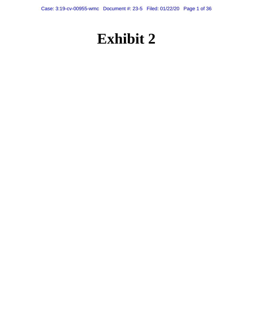Case: 3:19-cv-00955-wmc Document #: 23-5 Filed: 01/22/20 Page 1 of 36

# **Exhibit 2**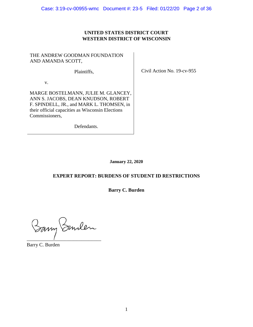## **UNITED STATES DISTRICT COURT WESTERN DISTRICT OF WISCONSIN**

## THE ANDREW GOODMAN FOUNDATION AND AMANDA SCOTT,

Plaintiffs,

Civil Action No. 19-cv-955

v.

MARGE BOSTELMANN, JULIE M. GLANCEY, ANN S. JACOBS, DEAN KNUDSON, ROBERT F. SPINDELL, JR., and MARK L. THOMSEN, in their official capacities as Wisconsin Elections Commissioners,

Defendants.

**January 22, 2020**

## **EXPERT REPORT: BURDENS OF STUDENT ID RESTRICTIONS**

**Barry C. Burden**

\_\_\_\_\_\_\_\_\_\_\_\_\_\_\_\_\_\_\_\_\_\_\_\_\_\_\_\_\_\_

Barry C. Burden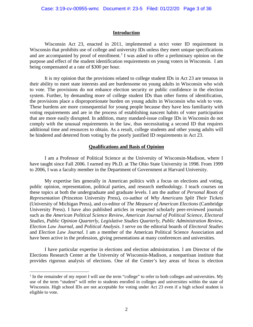#### **Introduction**

Wisconsin Act 23, enacted in 2011, implemented a strict voter ID requirement in Wisconsin that prohibits use of college and university IDs unless they meet unique specifications and are accompanied by proof of enrollment.<sup>[1](#page-2-0)</sup> I was asked to offer a preliminary opinion on the purpose and effect of the student identification requirements on young voters in Wisconsin. I am being compensated at a rate of \$300 per hour.

It is my opinion that the provisions related to college student IDs in Act 23 are tenuous in their ability to meet state interests and are burdensome on young adults in Wisconsin who wish to vote. The provisions do not enhance election security or public confidence in the election system. Further, by demanding more of college student IDs than other forms of identification, the provisions place a disproportionate burden on young adults in Wisconsin who wish to vote. These burdens are more consequential for young people because they have less familiarity with voting requirements and are in the process of establishing nascent habits of voter participation that are more easily disrupted. In addition, many standard-issue college IDs in Wisconsin do not comply with the unusual requirements in the law, thus necessitating a second ID that requires additional time and resources to obtain. As a result, college students and other young adults will be hindered and deterred from voting by the poorly justified ID requirements in Act 23.

#### **Qualifications and Basis of Opinion**

I am a Professor of Political Science at the University of Wisconsin-Madison, where I have taught since Fall 2006. I earned my Ph.D. at The Ohio State University in 1998. From 1999 to 2006, I was a faculty member in the Department of Government at Harvard University.

My expertise lies generally in American politics with a focus on elections and voting, public opinion, representation, political parties, and research methodology. I teach courses on these topics at both the undergraduate and graduate levels. I am the author of *Personal Roots of Representation* (Princeton University Press), co-author of *Why Americans Split Their Tickets*  (University of Michigan Press), and co-editor of *The Measure of American Elections* (Cambridge University Press). I have also published articles in respected scholarly peer-reviewed journals such as the *American Political Science Review*, *American Journal of Political Science*, *Electoral Studies*, *Public Opinion Quarterly*, *Legislative Studies Quarterly*, *Public Administration Review*, *Election Law Journal*, and *Political Analysis*. I serve on the editorial boards of *Electoral Studies* and *Election Law Journal*. I am a member of the American Political Science Association and have been active in the profession, giving presentations at many conferences and universities.

I have particular expertise in elections and election administration. I am Director of the Elections Research Center at the University of Wisconsin-Madison, a nonpartisan institute that provides rigorous analysis of elections. One of the Center's key areas of focus is election

<span id="page-2-0"></span><sup>&</sup>lt;sup>1</sup> In the remainder of my report I will use the term "college" to refer to both colleges and universities. My use of the term "student" will refer to students enrolled in colleges and universities within the state of Wisconsin. High school IDs are not acceptable for voting under Act 23 even if a high school student is eligible to vote.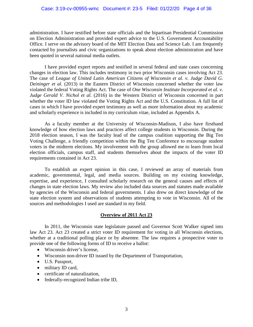administration. I have testified before state officials and the bipartisan Presidential Commission on Election Administration and provided expert advice to the U.S. Government Accountability Office. I serve on the advisory board of the MIT Election Data and Science Lab. I am frequently contacted by journalists and civic organizations to speak about election administration and have been quoted in several national media outlets.

I have provided expert reports and testified in several federal and state cases concerning changes in election law. This includes testimony in two prior Wisconsin cases involving Act 23. The case of *League of United Latin American Citizens of Wisconsin et al. v. Judge David G. Deininger et al.* (2013) in the Eastern District of Wisconsin concerned whether the voter law violated the federal Voting Rights Act. The case of *One Wisconsin Institute Incorporated et al. v. Judge Gerald V. Nichol et al.* (2016) in the Western District of Wisconsin concerned in part whether the voter ID law violated the Voting Rights Act and the U.S. Constitution. A full list of cases in which I have provided expert testimony as well as more information about my academic and scholarly experience is included in my curriculum vitae, included as Appendix A.

As a faculty member at the University of Wisconsin-Madison, I also have firsthand knowledge of how election laws and practices affect college students in Wisconsin. During the 2018 election season, I was the faculty lead of the campus coalition supporting the Big Ten Voting Challenge, a friendly competition within the Big Ten Conference to encourage student voters in the midterm elections. My involvement with the group allowed me to learn from local election officials, campus staff, and students themselves about the impacts of the voter ID requirements contained in Act 23.

To establish an expert opinion in this case, I reviewed an array of materials from academic, governmental, legal, and media sources. Building on my existing knowledge, expertise, and experience, I consulted scholarly research on the general causes and effects of changes in state election laws. My review also included data sources and statutes made available by agencies of the Wisconsin and federal governments. I also drew on direct knowledge of the state election system and observations of students attempting to vote in Wisconsin. All of the sources and methodologies I used are standard in my field.

## **Overview of 2011 Act 23**

In 2011, the Wisconsin state legislature passed and Governor Scott Walker signed into law Act 23. Act 23 created a strict voter ID requirement for voting in all Wisconsin elections, whether at a traditional polling place or by absentee. The law requires a prospective voter to provide one of the following forms of ID to receive a ballot:

- Wisconsin driver's license,
- Wisconsin non-driver ID issued by the Department of Transportation,
- U.S. Passport,
- military ID card,
- certificate of naturalization,
- federally-recognized Indian tribe ID,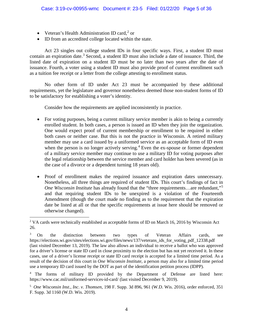- Veteran's Health Administration ID card, $2$  or
- ID from an accredited college located within the state.

Act 23 singles out college student IDs in four specific ways. First, a student ID must contain an expiration date.<sup>[3](#page-4-1)</sup> Second, a student ID must also include a date of issuance. Third, the listed date of expiration on a student ID must be no later than two years after the date of issuance. Fourth, a voter using a student ID must also provide proof of current enrollment such as a tuition fee receipt or a letter from the college attesting to enrollment status.

No other form of ID under Act 23 must be accompanied by these additional requirements, yet the legislature and governor nonetheless deemed those non-student forms of ID to be satisfactory for establishing a voter's identity.

Consider how the requirements are applied inconsistently in practice.

- For voting purposes, being a current military service member is akin to being a currently enrolled student. In both cases, a person is issued an ID when they join the organization. One would expect proof of current membership or enrollment to be required in either both cases or neither case. But this is not the practice in Wisconsin. A retired military member may use a card issued by a uniformed service as an acceptable form of ID even when the person is no longer actively serving.<sup>[4](#page-4-2)</sup> Even the ex-spouse or former dependent of a military service member may continue to use a military ID for voting purposes after the legal relationship between the service member and card holder has been severed (as in the case of a divorce or a dependent turning 18 years old).
- Proof of enrollment makes the required issuance and expiration dates unnecessary. Nonetheless, all three things are required of student IDs. This court's findings of fact in *One Wisconsin Institute* has already found that the "three requirements... are redundant,"<sup>[5](#page-4-3)</sup> and that requiring student IDs to be unexpired is a violation of the Fourteenth Amendment (though the court made no finding as to the requirement that the expiration date be listed at all or that the specific requirements at issue here should be removed or otherwise changed).

<span id="page-4-2"></span><sup>4</sup> The forms of military ID provided by the Department of Defense are listed here: https://www.cac.mil/uniformed-services-id-card/ (last visited December 9, 2019).

<span id="page-4-0"></span><sup>&</sup>lt;sup>2</sup> VA cards were technically established as acceptable forms of ID on March 16, 2016 by Wisconsin Act 26.

<span id="page-4-1"></span><sup>&</sup>lt;sup>3</sup> On the distinction between two types of Veteran Affairs cards, see https://elections.wi.gov/sites/elections.wi.gov/files/news/137/veterans\_ids\_for\_voting\_pdf\_12338.pdf (last visited December 13, 2019). The law also allows an individual to receive a ballot who was approved for a driver's license or state ID card in close proximity to the election but has not yet received it. In these cases, use of a driver's license receipt or state ID card receipt is accepted for a limited time period. As a result of the decision of this court in *One Wisconsin Institute*, a person may also for a limited time period use a temporary ID card issued by the DOT as part of the identification petition process (IDPP).

<span id="page-4-3"></span><sup>5</sup> *One Wisconsin Inst., Inc. v. Thomsen*, 198 F. Supp. 3d 896, 961 (W.D. Wis. 2016), order enforced, 351 F. Supp. 3d 1160 (W.D. Wis. 2019).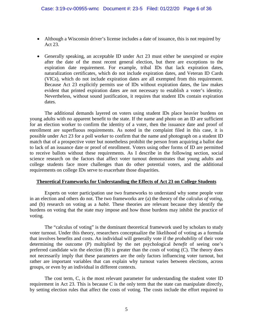- Although a Wisconsin driver's license includes a date of issuance, this is not required by Act 23.
- Generally speaking, an acceptable ID under Act 23 must either be unexpired or expire after the date of the most recent general election, but there are exceptions to the expiration date requirement. For example, tribal IDs that lack expiration dates, naturalization certificates, which do not include expiration dates, and Veteran ID Cards (VICs), which do not include expiration dates are all exempted from this requirement. Because Act 23 explicitly permits use of IDs without expiration dates, the law makes evident that printed expiration dates are not necessary to establish a voter's identity. Nevertheless, without sound justification, it requires that student IDs contain expiration dates.

The additional demands layered on voters using student IDs place heavier burdens on young adults with no apparent benefit to the state. If the name and photo on an ID are sufficient for an election worker to confirm the identity of a voter, then the issuance date and proof of enrollment are superfluous requirements. As noted in the complaint filed in this case, it is possible under Act 23 for a poll worker to confirm that the name and photograph on a student ID match that of a prospective voter but nonetheless prohibit the person from acquiring a ballot due to lack of an issuance date or proof of enrollment. Voters using other forms of ID are permitted to receive ballots without these requirements. As I describe in the following section, social science research on the factors that affect voter turnout demonstrates that young adults and college students face more challenges than do other potential voters, and the additional requirements on college IDs serve to exacerbate those disparities.

## **Theoretical Frameworks for Understanding the Effects of Act 23 on College Students**

Experts on voter participation use two frameworks to understand why some people vote in an election and others do not. The two frameworks are (a) the theory of the *calculus of voting,* and (b) research on voting as a *habit*. These theories are relevant because they identify the burdens on voting that the state may impose and how those burdens may inhibit the practice of voting.

The "calculus of voting" is the dominant theoretical framework used by scholars to study voter turnout. Under this theory, researchers conceptualize the likelihood of voting as a formula that involves benefits and costs. An individual will generally vote if the *probability* of their vote determining the outcome (P) multiplied by the net psychological *benefit* of seeing one's preferred candidate win the election (B) is greater than the *costs* of voting (C). The theory does not necessarily imply that these parameters are the only factors influencing voter turnout, but rather are important variables that can explain why turnout varies between elections, across groups, or even by an individual in different contexts.

The cost term, C, is the most relevant parameter for understanding the student voter ID requirement in Act 23. This is because C is the only term that the state can manipulate directly, by setting election rules that affect the costs of voting. The costs include the effort required to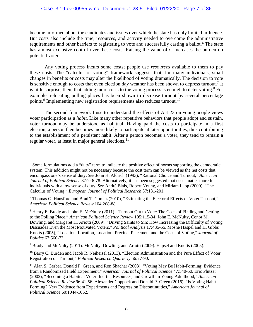#### Case: 3:19-cv-00955-wmc Document #: 23-5 Filed: 01/22/20 Page 7 of 36

become informed about the candidates and issues over which the state has only limited influence. But costs also include the time, resources, and activity needed to overcome the administrative requirements and other barriers to registering to vote and successfully casting a ballot.<sup>[6](#page-6-0)</sup> The state has almost exclusive control over these costs. Raising the value of C increases the burden on potential voters.

Any voting process incurs some costs; people use *resources* available to them to pay these costs. The "calculus of voting" framework suggests that, for many individuals, small changes in benefits or costs may alter the likelihood of voting dramatically. The decision to vote is sensitive enough to costs that even election day weather has been shown to depress turnout.<sup>[7](#page-6-1)</sup> It is little surprise, then, that adding more costs to the voting process is enough to deter voting.<sup>[8](#page-6-2)</sup> For example, relocating polling places has been shown to decrease turnout by several percentage points.<sup>[9](#page-6-3)</sup> Implementing new registration requirements also reduces turnout.<sup>[10](#page-6-4)</sup>

The second framework I use to understand the effects of Act 23 on young people views voter participation as a *habit*. Like many other repetitive behaviors that people adopt and sustain, voter turnout may be understood as habitual. Having paid the costs to participate in a first election, a person then becomes more likely to participate at later opportunities, thus contributing to the establishment of a persistent habit. After a person becomes a voter, they tend to remain a regular voter, at least in major general elections.<sup>[11](#page-6-5)</sup>

<span id="page-6-3"></span><sup>9</sup> Brady and McNulty (2011). McNulty, Dowling, and Ariotti (2009). Hapsel and Knotts (2005).

<span id="page-6-4"></span><sup>10</sup> Barry C. Burden and Jacob R. Neiheisel (2013), "Election Administration and the Pure Effect of Voter Registration on Turnout," *Political Research Quarterly* 66:77-90.

<span id="page-6-0"></span><sup>6</sup> Some formulations add a "duty" term to indicate the positive effect of norms supporting the democratic system. This addition might not be necessary because the cost term can be viewed as the net costs that encompass one's sense of duty. *See* John H. Aldrich (1993), "Rational Choice and Turnout," *American Journal of Political Science* 37:246-78. Alternatively, it has been suggested that costs matter more for individuals with a low sense of duty. *See* André Blais, Robert Young, and Miriam Lapp (2000), "The Calculus of Voting," *European Journal of Political Research* 37:181-201.

<span id="page-6-1"></span> $^7$  Thomas G. Hansford and Brad T. Gomez (2010), "Estimating the Electoral Effects of Voter Turnout," *American Political Science Review* 104:268-88.

<span id="page-6-2"></span><sup>8</sup> Henry E. Brady and John E. McNulty (2011), "Turnout Out to Vote: The Costs of Finding and Getting to the Polling Place," *American Political Science Review* 105:115-34. John E. McNulty, Conor M. Dowling, and Margaret H. Ariotti (2009), "Driving Saints to Sin: How Increasing the Difficulty of Voting Dissuades Even the Most Motivated Voters," *Political Analysis* 17:435-55. Moshe Haspel and H. Gibbs Knotts (2005), "Location, Location, Location: Precinct Placement and the Costs of Voting," *Journal of Politics* 67:560-73.

<span id="page-6-5"></span><sup>&</sup>lt;sup>11</sup> Alan S. Gerber, Donald P. Green, and Ron Shachar (2003), "Voting May Be Habit-Forming: Evidence from a Randomized Field Experiment," *American Journal of Political Science* 47:540-50. Eric Plutzer (2002), "Becoming a Habitual Voter: Inertia, Resources, and Growth in Young Adulthood," *American Political Science Review* 96:41-56. Alexander Coppock and Donald P. Green (2016), "Is Voting Habit Forming? New Evidence from Experiments and Regression Discontinuities," *American Journal of Political Science* 60:1044-1062.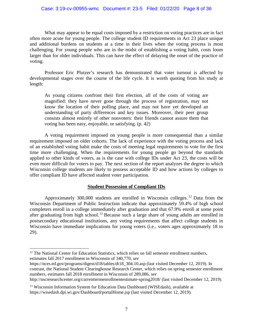#### Case: 3:19-cv-00955-wmc Document #: 23-5 Filed: 01/22/20 Page 8 of 36

What may appear to be equal costs imposed by a restriction on voting practices are in fact often more acute for young people. The college student ID requirements in Act 23 place unique and additional burdens on students at a time in their lives when the voting process is most challenging. For young people who are in the midst of establishing a voting habit, costs loom larger than for older individuals. This can have the effect of delaying the onset of the practice of voting.

Professor Eric Plutzer's research has demonstrated that voter turnout is affected by developmental stages over the course of the life cycle. It is worth quoting from his study at length:

As young citizens confront their first election, all of the costs of voting are magnified: they have never gone through the process of registration, may not know the location of their polling place, and may not have yet developed an understanding of party differences and key issues. Moreover, their peer group consists almost entirely of other nonvoters: their friends cannot assure them that voting has been easy, enjoyable, or satisfying. (p. 42)

A voting requirement imposed on young people is more consequential than a similar requirement imposed on older cohorts. The lack of experience with the voting process and lack of an established voting habit make the costs of meeting legal requirements to vote for the first time more challenging. When the requirements for young people go beyond the standards applied to other kinds of voters, as is the case with college IDs under Act 23, the costs will be even more difficult for voters to pay. The next section of the report analyzes the degree to which Wisconsin college students are likely to possess acceptable ID and how actions by colleges to offer compliant ID have affected student voter participation.

## **Student Possession of Compliant IDs**

Approximately 300,000 students are enrolled in Wisconsin colleges.<sup>[12](#page-7-0)</sup> Data from the Wisconsin Department of Public Instruction indicate that approximately 59.4% of high school completers enroll in a college immediately after graduation and that 67.9% enroll at some point after graduating from high school.<sup>[13](#page-7-1)</sup> Because such a large share of young adults are enrolled in postsecondary educational institutions, any voting requirements that affect college students in Wisconsin have immediate implications for young voters (i.e., voters ages approximately 18 to 29).

https://nces.ed.gov/programs/digest/d18/tables/dt18\_304.10.asp (last visited December 12, 2019). In contrast, the National Student Clearinghouse Research Center, which relies on spring semester enrollment numbers, estimates fall 2018 enrollment in Wisconsin of 289,086, *see*

<span id="page-7-0"></span><sup>&</sup>lt;sup>12</sup> The National Center for Education Statistics, which relies on fall semester enrollment numbers, estimates fall 2017 enrollment in Wisconsin of 340,770, *see*

http://nscresearchcenter.org/currenttermenrollmentestimate-spring2018/ (last visited December 12, 2019).

<span id="page-7-1"></span><sup>&</sup>lt;sup>13</sup> Wisconsin Information System for Education Data Dashboard (WISEdash), available at https://wisedash.dpi.wi.gov/Dashboard/portalHome.jsp (last visited December 12, 2019).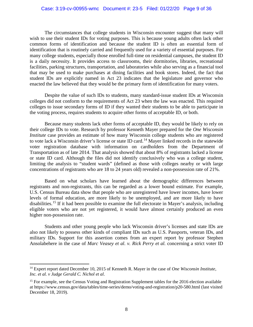#### Case: 3:19-cv-00955-wmc Document #: 23-5 Filed: 01/22/20 Page 9 of 36

The circumstances that college students in Wisconsin encounter suggest that many will wish to use their student IDs for voting purposes. This is because young adults often lack other common forms of identification and because the student ID is often an essential form of identification that is routinely carried and frequently used for a variety of essential purposes. For many college students, especially those enrolled full-time on residential campuses, the student ID is a daily necessity. It provides access to classrooms, their dormitories, libraries, recreational facilities, parking structures, transportation, and laboratories while also serving as a financial tool that may be used to make purchases at dining facilities and book stores. Indeed, the fact that student IDs are explicitly named in Act 23 indicates that the legislature and governor who enacted the law believed that they would be the primary form of identification for many voters.

Despite the value of such IDs to students, many standard-issue student IDs at Wisconsin colleges did not conform to the requirements of Act 23 when the law was enacted. This required colleges to issue secondary forms of ID if they wanted their students to be able to participate in the voting process, requires students to acquire other forms of acceptable ID, or both.

Because many students lack other forms of acceptable ID, they would be likely to rely on their college IDs to vote. Research by professor Kenneth Mayer prepared for the *One Wisconsin Institute* case provides an estimate of how many Wisconsin college students who are registered to vote lack a Wisconsin driver's license or state ID card.<sup>[14](#page-8-0)</sup> Mayer linked records in the statewide voter registration database with information on cardholders from the Department of Transportation as of late 2014. That analysis showed that about 8% of registrants lacked a license or state ID card. Although the files did not identify conclusively who was a college student, limiting the analysis to "student wards" (defined as those with colleges nearby or with large concentrations of registrants who are 18 to 24 years old) revealed a non-possession rate of 21%.

Based on what scholars have learned about the demographic differences between registrants and non-registrants, this can be regarded as a lower bound estimate. For example, U.S. Census Bureau data show that people who are unregistered have lower incomes, have lower levels of formal education, are more likely to be unemployed, and are more likely to have disabilities.[15](#page-8-1) If it had been possible to examine the full electorate in Mayer's analysis, including eligible voters who are not yet registered, it would have almost certainly produced an even higher non-possession rate.

Students and other young people who lack Wisconsin driver's licenses and state IDs are also not likely to possess other kinds of compliant IDs such as U.S. Passports, veteran IDs, and military IDs. Support for this assertion comes from an expert report by professor Stephen Ansolabehere in the case of *Marc Veasey et al. v. Rick Perry et al.* concerning a strict voter ID

<span id="page-8-0"></span><sup>14</sup> Expert report dated December 10, 2015 of Kenneth R. Mayer in the case of *One Wisconsin Institute, Inc. et al. v Judge Gerald C. Nichol et al*.

<span id="page-8-1"></span><sup>&</sup>lt;sup>15</sup> For example, see the Census Voting and Registration Supplement tables for the 2016 election available at https://www.census.gov/data/tables/time-series/demo/voting-and-registration/p20-580.html (last visited December 18, 2019).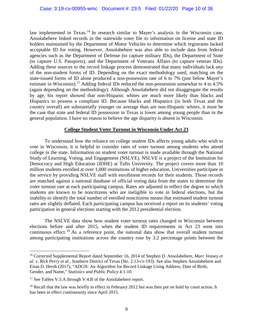law implemented in Texas.<sup>[16](#page-9-0)</sup> In research similar to Mayer's analysis in the Wisconsin case, Ansolabehere linked records in the statewide voter file to information on license and state ID holders maintained by the Department of Motor Vehicles to determine which registrants lacked acceptable ID for voting. However, Ansolabehere was also able to include data from federal agencies such as the Department of Defense (to capture military IDs), the Department of State (to capture U.S. Passports), and the Department of Veterans Affairs (to capture veteran IDs). Adding these sources to the record linkage process demonstrated that many individuals lack *any* of the non-student forms of ID. Depending on the exact methodology used, matching on the state-issued forms of ID alone produced a non-possession rate of 6 to 7% (just below Mayer's estimate in Wisconsin).<sup>[17](#page-9-1)</sup> Adding federal IDs reduced the non-possession somewhat to 4 to 4.5% (again depending on the methodology). Although Ansolabehere did not disaggregate the results by age, his report showed that non-Hispanic whites are much more likely than blacks and Hispanics to possess a compliant ID. Because blacks and Hispanics (in both Texas and the country overall) are substantially younger on average than are non-Hispanic whites, it must be the case that state and federal ID possession in Texas is lower among young people than in the general population. I have no reason to believe the age disparity is absent in Wisconsin.

## **College Student Voter Turnout in Wisconsin Under Act 23**

To understand how the reliance on college student IDs affects young adults who wish to vote in Wisconsin, it is helpful to consider rates of voter turnout among students who attend college in the state. Information on student voter turnout is made available through the National Study of Learning, Voting, and Engagement (NSLVE). NSLVE is a project of the Institution for Democracy and High Education (IDHE) at Tufts University. The project covers more than 10 million students enrolled at over 1,000 institutions of higher education. Universities participate in the service by providing NSLVE staff with enrollment records for their students. Those records are matched against a national database of official voting data from the states to determine the voter turnout rate at each participating campus. Rates are adjusted to reflect the degree to which students are known to be noncitizens who are ineligible to vote in federal elections, but the inability to identify the total number of enrolled noncitizens means that estimated student turnout rates are slightly deflated. Each participating campus has received a report on its students' voting participation in general elections starting with the 2012 presidential election.

The NSLVE data show how student voter turnout rates changed in Wisconsin between elections before and after 2015, when the student ID requirements in Act 23 went into continuous effect.<sup>[18](#page-9-2)</sup> As a reference point, the national data show that overall student turnout among participating institutions across the country rose by 3.2 percentage points between the

<span id="page-9-0"></span><sup>16</sup> Corrected Supplemental Report dated September 16, 2014 of Stephen D. Ansolabehere, *Marc Veasey et al. v. Rick Perry et al.*, Southern District of Texas (No. 2:13-cv-193). See also Stephen Ansolabehere and Eitan D. Hersh (2017), "ADGN: An Algorithm for Record Linkage Using Address, Date of Birth, Gender, and Name," *Statistics and Public Policy* 4:1-10.

<span id="page-9-1"></span><sup>&</sup>lt;sup>17</sup> See Tables V.3.A through V.4.B of the Ansolabehere report.

<span id="page-9-2"></span><sup>&</sup>lt;sup>18</sup> Recall that the law was briefly in effect in February 2012 but was then put on hold by court action. It has been in effect continuously since April 2015.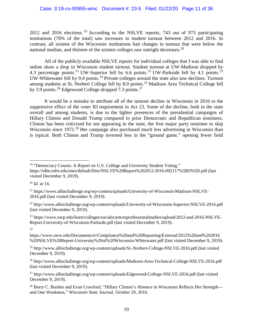2012 and 2016 elections. [19](#page-10-0) According to the NSLVE reports, 743 out of 973 participating institutions (76% of the total) saw increases in student turnout between 2012 and 2016. In contrast, all sixteen of the Wisconsin institutions had changes in turnout that were below the national median, and thirteen of the sixteen colleges saw outright decreases.<sup>[20](#page-10-1)</sup>

All of the publicly available NSLVE reports for individual colleges that I was able to find online show a drop in Wisconsin student turnout. Student turnout at UW-Madison dropped by 4.3 percentage points.<sup>[21](#page-10-2)</sup> UW-Superior fell by 6.6 points.<sup>[22](#page-10-3)</sup> UW-Parkside fell by 4.1 points.<sup>[23](#page-10-4)</sup> UW-Whitewater fell by 9.4 points.<sup>[24](#page-10-5)</sup> Private colleges around the state also saw declines. Turnout among students at St. Norbert College fell by 8.0 points.[25](#page-10-6) Madison Area Technical College fell by 3.9 points.<sup>[26](#page-10-7)</sup> Edgewood College dropped 7.3 points.<sup>[27](#page-10-8)</sup>

It would be a mistake to attribute all of the turnout decline in Wisconsin in 2016 to the suppressive effect of the voter ID requirement in Act 23. Some of the decline, both in the state overall and among students, is due to the lighter presences of the presidential campaigns of Hillary Clinton and Donald Trump compared to prior Democratic and Republican nominees. Clinton has been criticized for not appearing in the state, the first major party nominee to skip Wisconsin since 1972.<sup>[28](#page-10-9)</sup> Her campaign also purchased much less advertising in Wisconsin than is typical. Both Clinton and Trump invested less in the "ground game," opening fewer field

<span id="page-10-3"></span><sup>22</sup> http://www.allinchallenge.org/wp-content/uploads/University-of-Wisconsin-Superior-NSLVE-2016.pdf (last visited December 9, 2019).

<span id="page-10-4"></span><sup>23</sup> https://www.uwp.edu/learn/colleges/socialsciencesprofessionalstudies/upload/2012-and-2016-NSLVE-Report-University-of-Wisconsin-Parkside.pdf (last visited December 9, 2019).

24

<span id="page-10-5"></span>https://www.uww.edu/Documents/ir/Compliance%20and%20Reporting/External/2012%20and%202016 %20NSLVE%20Report-University%20of%20Wisconsin-Whitewater.pdf (last visited December 9, 2019).

<span id="page-10-6"></span><sup>25</sup> http://www.allinchallenge.org/wp-content/uploads/St.-Norbert-College-NSLVE-2016.pdf (last visited December 9, 2019).

<span id="page-10-7"></span><sup>26</sup> http://www.allinchallenge.org/wp-content/uploads/Madison-Area-Technical-College-NSLVE-2016.pdf (last visited December 9, 2019).

<span id="page-10-8"></span><sup>27</sup> http://www.allinchallenge.org/wp-content/uploads/Edgewood-College-NSLVE-2016.pdf (last visited December 9, 2019).

<span id="page-10-9"></span><sup>28</sup> Barry C. Burden and Evan Crawford, "Hillary Clinton's Absence in Wisconsin Reflects Her Strength and One Weakness," *Wisconsin State Journal*, October 29, 2016.

<span id="page-10-0"></span><sup>&</sup>lt;sup>19</sup> "Democracy Counts: A Report on U.S. College and University Student Voting," https://idhe.tufts.edu/sites/default/files/NSLVE%20Report%202012-2016-092117%5B3%5D.pdf (last visited December 9, 2019).

<span id="page-10-1"></span><sup>20</sup> *Id.* at 14.

<span id="page-10-2"></span><sup>21</sup> https://www.allinchallenge.org/wp-content/uploads/University-of-Wisconsin-Madison-NSLVE-2016.pdf (last visited December 9, 2019).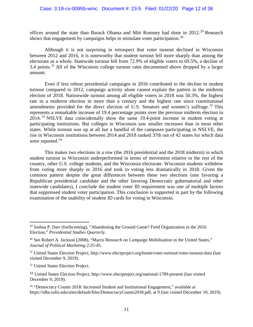offices around the state than Barack Obama and Mitt Romney had done in 2012.<sup>[29](#page-11-0)</sup> Research shows that engagement by campaigns helps to stimulate voter participation.<sup>[30](#page-11-1)</sup>

Although it is not surprising in retrospect that voter turnout declined in Wisconsin between 2012 and 2016, it is noteworthy that student turnout fell more sharply than among the electorate as a whole. Statewide turnout fell from 72.9% of eligible voters to 69.5%, a decline of  $3.4$  points.<sup>[31](#page-11-2)</sup> All of the Wisconsin college turnout rates documented above dropped by a larger amount.

Even if less robust presidential campaigns in 2016 contributed to the decline in student turnout compared to 2012, campaign activity alone cannot explain the pattern in the midterm election of 2018. Nationwide turnout among all eligible voters in 2018 was 50.3%, the highest rate in a midterm election in more than a century and the highest rate since constitutional amendments provided for the direct election of U.S. Senators and women's suffrage.<sup>[32](#page-11-3)</sup> This represents a remarkable increase of 19.4 percentage points over the previous midterm election in 2014. [33](#page-11-4) NSLVE data coincidentally show the same 19.4-point increase in student voting at participating institutions. But colleges in Wisconsin saw smaller increases than in most other states. While turnout was up at all but a handful of the campuses participating in NSLVE, the rise in Wisconsin institutions between 2014 and 2018 ranked 37th out of 42 states for which data were reported.<sup>[34](#page-11-5)</sup>

This makes two elections in a row (the 2016 presidential and the 2018 midterm) in which student turnout in Wisconsin underperformed in terms of movement relative to the rest of the country, other U.S. college students, and the Wisconsin electorate. Wisconsin students withdrew from voting more sharply in 2016 and took to voting less dramatically in 2018. Given the common pattern despite the great differences between these two elections (one favoring a Republican presidential candidate and the other favoring Democratic gubernatorial and other statewide candidates), I conclude the student voter ID requirement was one of multiple factors that suppressed student voter participation. This conclusion is supported in part by the following examination of the usability of student ID cards for voting in Wisconsin.

<span id="page-11-0"></span><sup>&</sup>lt;sup>29</sup> Joshua P. Darr (forthcoming), "Abandoning the Ground Game? Field Organization in the 2016 Election," *Presidential Studies Quarterly*.

<span id="page-11-1"></span><sup>&</sup>lt;sup>30</sup> See Robert A. Jackson (2008), "Macro Research on Campaign Mobilization in the United States," *Journal of Political Marketing* 2:25-45.

<span id="page-11-2"></span><sup>&</sup>lt;sup>31</sup> United States Election Project, http://www.electproject.org/home/voter-turnout/voter-turnout-data (last visited December 9, 2019).

<span id="page-11-3"></span><sup>32</sup> United States Election Project.

<span id="page-11-4"></span><sup>33</sup> United States Election Project, http://www.electproject.org/national-1789-present (last visited December 9, 2019).

<span id="page-11-5"></span><sup>&</sup>lt;sup>34</sup> "Democracy Counts 2018: Increased Student and Institutional Engagement," available at https://idhe.tufts.edu/sites/default/files/DemocracyCounts2018.pdf, at 9 (last visited December 10, 2019).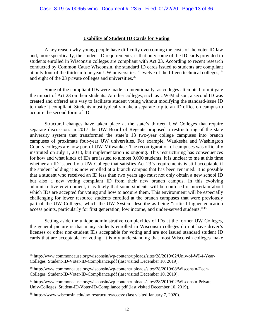## **Usability of Student ID Cards for Voting**

A key reason why young people have difficulty overcoming the costs of the voter ID law and, more specifically, the student ID requirements, is that only some of the ID cards provided to students enrolled in Wisconsin colleges are compliant with Act 23. According to recent research conducted by Common Cause Wisconsin, the standard ID cards issued to students are compliant at only four of the thirteen four-year UW universities,<sup>[35](#page-12-0)</sup> twelve of the fifteen technical colleges,<sup>[36](#page-12-1)</sup> and eight of the 23 private colleges and universities.<sup>[37](#page-12-2)</sup>

Some of the compliant IDs were made so intentionally, as colleges attempted to mitigate the impact of Act 23 on their students. At other colleges, such as UW-Madison, a second ID was created and offered as a way to facilitate student voting without modifying the standard-issue ID to make it compliant. Students must typically make a separate trip to an ID office on campus to acquire the second form of ID.

Structural changes have taken place at the state's thirteen UW Colleges that require separate discussion. In 2017 the UW Board of Regents proposed a restructuring of the state university system that transformed the state's 13 two-year college campuses into branch campuses of proximate four-year UW universities. For example, Waukesha and Washington County colleges are now part of UW-Milwaukee. The reconfiguration of campuses was officially instituted on July 1, 2018, but implementation is ongoing. This restructuring has consequences for how and what kinds of IDs are issued to almost 9,000 students. It is unclear to me at this time whether an ID issued by a UW College that satisfies Act 23's requirements is still acceptable if the student holding it is now enrolled at a branch campus that has been renamed. It is possible that a student who received an ID less than two years ago must not only obtain a new school ID but also a new voting compliant ID from their new branch campus. In this evolving administrative environment, it is likely that some students will be confused or uncertain about which IDs are accepted for voting and how to acquire them. This environment will be especially challenging for lower resource students enrolled at the branch campuses that were previously part of the UW Colleges, which the UW System describe as being "critical higher education access points, particularly for first generation, low income, and under-served students."[38](#page-12-3)

Setting aside the unique administrative complexities of IDs at the former UW Colleges, the general picture is that many students enrolled in Wisconsin colleges do not have driver's licenses or other non-student IDs acceptable for voting and are not issued standard student ID cards that are acceptable for voting. It is my understanding that most Wisconsin colleges make

<span id="page-12-0"></span><sup>35</sup> http://www.commoncause.org/wisconsin/wp-content/uploads/sites/28/2019/02/Univ-of-WI-4-Year-Colleges\_Student-ID-Voter-ID-Compliance.pdf (last visited December 10, 2019).

<span id="page-12-1"></span><sup>36</sup> http://www.commoncause.org/wisconsin/wp-content/uploads/sites/28/2019/08/Wisconsin-Tech-Colleges\_Student-ID-Voter-ID-Compliance.pdf (last visited December 10, 2019).

<span id="page-12-2"></span><sup>37</sup> http://www.commoncause.org/wisconsin/wp-content/uploads/sites/28/2019/02/Wisconsin-Private-Univ-Colleges\_Student-ID-Voter-ID-Compliance.pdf (last visited December 10, 2019).

<span id="page-12-3"></span><sup>38</sup> https://www.wisconsin.edu/uw-restructure/access/ (last visited January 7, 2020).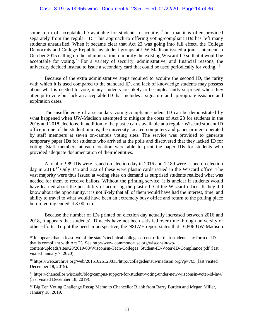some form of acceptable ID available for students to acquire,  $39$  but that it is often provided separately from the regular ID. This approach to offering voting-compliant IDs has left many students unsatisfied. When it became clear that Act 23 was going into full effect, the College Democrats and College Republicans student groups at UW-Madison issued a joint statement in October 2015 calling on the administration to modify the existing Wiscard ID so that it would be acceptable for voting. [40](#page-13-1) For a variety of security, administrative, and financial reasons, the university decided instead to issue a secondary card that could be used periodically for voting.<sup>[41](#page-13-2)</sup>

Because of the extra administrative steps required to acquire the second ID, the rarity with which it is used compared to the standard ID, and lack of knowledge students may possess about what is needed to vote, many students are likely to be unpleasantly surprised when they attempt to vote but lack an acceptable ID that includes a signature and appropriate issuance and expiration dates.

The insufficiency of a secondary voting-compliant student ID can be demonstrated by what happened when UW-Madison attempted to mitigate the costs of Act 23 for students in the 2016 and 2018 elections. In addition to the plastic cards available at a regular Wiscard student ID office in one of the student unions, the university located computers and paper printers operated by staff members at seven on-campus voting sites. The service was provided to generate temporary paper IDs for students who arrived at the polls and discovered that they lacked ID for voting. Staff members at each location were able to print the paper IDs for students who provided adequate documentation of their identities.

A total of 989 IDs were issued on election day in 2016 and 1,189 were issued on election day in 2018.<sup>[42](#page-13-3)</sup> Only 345 and 322 of these were plastic cards issued in the Wiscard office. The vast majority were thus issued at voting sites on demand as surprised students realized what was needed for them to receive ballots. Without the printing service, it is unclear if students would have learned about the possibility of acquiring the plastic ID at the Wiscard office. If they did know about the opportunity, it is not likely that all of them would have had the interest, time, and ability to travel to what would have been an extremely busy office and return to the polling place before voting ended at 8:00 p.m.

Because the number of IDs printed on election day actually increased between 2016 and 2018, it appears that students' ID needs have not been satisfied over time through university or other efforts. To put the need in perspective, the NSLVE report states that 16,806 UW-Madison

<span id="page-13-0"></span><sup>&</sup>lt;sup>39</sup> It appears that at least two of the state's technical colleges do not offer their students any form of ID that is compliant with Act 23. See http://www.commoncause.org/wisconsin/wp-

content/uploads/sites/28/2019/08/Wisconsin-Tech-Colleges\_Student-ID-Voter-ID-Compliance.pdf (last visited January 7, 2020).

<span id="page-13-1"></span><sup>40</sup> https://web.archive.org/web/20151026120815/http://collegedemsuwmadison.org/?p=765 (last visited December 18, 2019).

<span id="page-13-2"></span><sup>41</sup> https://chancellor.wisc.edu/blog/campus-support-for-student-voting-under-new-wisconsin-voter-id-law/ (last visited December 18, 2019).

<span id="page-13-3"></span> $42$  Big Ten Voting Challenge Recap Memo to Chancellor Blank from Barry Burden and Megan Miller, January 18, 2019.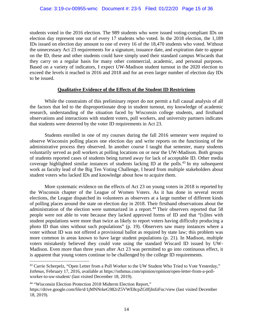students voted in the 2016 election. The 989 students who were issued voting-compliant IDs on election day represent one out of every 17 students who voted. In the 2018 election, the 1,189 IDs issued on election day amount to one of every 16 of the 18,470 students who voted. Without the unnecessary Act 23 requirements for a signature, issuance date, and expiration date to appear on the ID, these and other students could have simply used their standard campus Wiscards that they carry on a regular basis for many other commercial, academic, and personal purposes. Based on a variety of indicators, I expect UW-Madison student turnout in the 2020 election to exceed the levels it reached in 2016 and 2018 and for an even larger number of election day IDs to be issued.

## **Qualitative Evidence of the Effects of the Student ID Restrictions**

While the constraints of this preliminary report do not permit a full causal analysis of all the factors that led to the disproportionate drop in student turnout, my knowledge of academic research, understanding of the situation faced by Wisconsin college students, and firsthand observations and interactions with student voters, poll workers, and university partners indicates that students were deterred by the voter ID requirements in Act 23.

Students enrolled in one of my courses during the fall 2016 semester were required to observe Wisconsin polling places one election day and write reports on the functioning of the administrative process they observed. In another course I taught that semester, many students voluntarily served as poll workers at polling locations on or near the UW-Madison. Both groups of students reported cases of students being turned away for lack of acceptable ID. Other media coverage highlighted similar instances of students lacking ID at the polls.<sup>[43](#page-14-0)</sup> In my subsequent work as faculty lead of the Big Ten Voting Challenge, I heard from multiple stakeholders about student voters who lacked IDs and knowledge about how to acquire them.

More systematic evidence on the effects of Act 23 on young voters in 2018 is reported by the Wisconsin chapter of the League of Women Voters. As it has done in several recent elections, the League dispatched its volunteers as observers at a large number of different kinds of polling places around the state on election day in 2018. Their firsthand observations about the administration of the election were summarized in a report.<sup>[44](#page-14-1)</sup> Their observers reported that 58 people were not able to vote because they lacked approved forms of ID and that "[s]ites with student populations were more than twice as likely to report voters having difficulty producing a photo ID than sites without such populations" (p. 19). Observers saw many instances where a voter without ID was not offered a provisional ballot as required by state law; this problem was more common in areas known to have large student populations (p. 21). In Madison, multiple voters mistakenly believed they could vote using the standard Wiscard ID issued by UW-Madison. Even more than three years after Act 23 was permitted to go into continuous effect, it is apparent that young voters continue to be challenged by the college ID requirements.

<span id="page-14-0"></span><sup>&</sup>lt;sup>43</sup> Carrie Scherpelz, "Open Letter from a Poll Worker to the UW Student Who Tried to Vote Yesterday," *Isthmus*, February 17, 2016, available at https://isthmus.com/opinion/opinion/open-letter-from-a-pollworker-to-uw-student/ (last visited December 18, 2019).

<span id="page-14-1"></span><sup>44</sup> "Wisconsin Election Protection 2018 Midterm Election Report,"

https://drive.google.com/file/d/1jMNNrkeG982rZ5VWE8cpZG0fjInfzFnc/view (last visited December 18, 2019).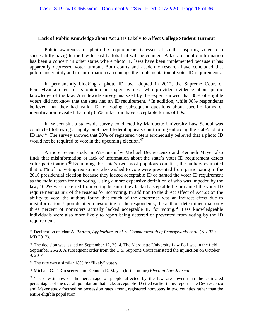## **Lack of Public Knowledge about Act 23 is Likely to Affect College Student Turnout**

Public awareness of photo ID requirements is essential so that aspiring voters can successfully navigate the law to cast ballots that will be counted. A lack of public information has been a concern in other states where photo ID laws have been implemented because it has apparently depressed voter turnout. Both courts and academic research have concluded that public uncertainty and misinformation can damage the implementation of voter ID requirements.

In permanently blocking a photo ID law adopted in 2012, the Supreme Court of Pennsylvania cited in its opinion an expert witness who provided evidence about public knowledge of the law. A statewide survey analyzed by the expert showed that 38% of eligible voters did not know that the state had an ID requirement.<sup>[45](#page-15-0)</sup> In addition, while 98% respondents believed that they had valid ID for voting, subsequent questions about specific forms of identification revealed that only 86% in fact did have acceptable forms of IDs.

In Wisconsin, a statewide survey conducted by Marquette University Law School was conducted following a highly publicized federal appeals court ruling enforcing the state's photo ID law.[46](#page-15-1) The survey showed that 20% of registered voters erroneously believed that a photo ID would not be required to vote in the upcoming election.<sup>[47](#page-15-2)</sup>

A more recent study in Wisconsin by Michael DeCrescenzo and Kenneth Mayer also finds that misinformation or lack of information about the state's voter ID requirement deters voter participation.[48](#page-15-3) Examining the state's two most populous counties, the authors estimated that 5.8% of nonvoting registrants who wished to vote were prevented from participating in the 2016 presidential election because they lacked acceptable ID or named the voter ID requirement as the *main* reason for not voting. Using a more expansive definition of who was impeded by the law, 10.2% were deterred from voting because they lacked acceptable ID or named the voter ID requirement as *one* of the reasons for not voting. In addition to the direct effect of Act 23 on the ability to vote, the authors found that much of the deterrence was an indirect effect due to misinformation. Upon detailed questioning of the respondents, the authors determined that only three percent of nonvoters actually lacked acceptable ID for voting. [49](#page-15-4) Less knowledgeable individuals were also more likely to report being deterred or prevented from voting by the ID requirement.

<span id="page-15-0"></span><sup>45</sup> Declaration of Matt A. Barreto, *Applewhite, et al. v. Commonwealth of Pennsylvania et al.* (No. 330 MD 2012).

<span id="page-15-1"></span><sup>&</sup>lt;sup>46</sup> The decision was issued on September 12, 2014. The Marquette University Law Poll was in the field September 25-28. A subsequent order from the U.S. Supreme Court reinstated the injunction on October 9, 2014.

<span id="page-15-2"></span><sup>&</sup>lt;sup>47</sup> The rate was a similar 18% for "likely" voters.

<span id="page-15-3"></span><sup>48</sup> Michael G. DeCrescenzo and Kenneth R. Mayer (forthcoming) *Election Law Journal*.

<span id="page-15-4"></span><sup>&</sup>lt;sup>49</sup> These estimates of the percentage of people affected by the law are lower than the estimated percentages of the overall population that lacks acceptable ID cited earlier in my report. The DeCrescenzo and Mayer study focused on possession rates among registered nonvoters in two counties rather than the entire eligible population.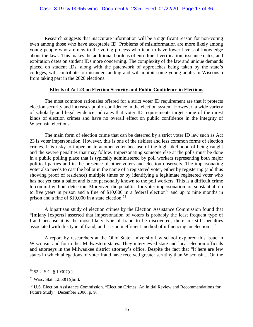Research suggests that inaccurate information will be a significant reason for non-voting even among those who have acceptable ID. Problems of misinformation are more likely among young people who are new to the voting process who tend to have lower levels of knowledge about the laws. This makes the additional burdens of enrollment verification, issuance dates, and expiration dates on student IDs more concerning. The complexity of the law and unique demands placed on student IDs, along with the patchwork of approaches being taken by the state's colleges, will contribute to misunderstanding and will inhibit some young adults in Wisconsin from taking part in the 2020 elections.

## **Effects of Act 23 on Election Security and Public Confidence in Elections**

The most common rationales offered for a strict voter ID requirement are that it protects election security and increases public confidence in the election system. However, a wide variety of scholarly and legal evidence indicates that voter ID requirements target some of the rarest kinds of election crimes and have no overall effect on public confidence in the integrity of Wisconsin elections.

The main form of election crime that can be deterred by a strict voter ID law such as Act 23 is voter impersonation. However, this is one of the riskiest and less common forms of election crimes. It is risky to impersonate another voter because of the high likelihood of being caught and the severe penalties that may follow. Impersonating someone else at the polls must be done in a public polling place that is typically administered by poll workers representing both major political parties and in the presence of other voters and election observers. The impersonating voter also needs to cast the ballot in the name of a registered voter, either by registering (and thus showing proof of residence) multiple times or by identifying a legitimate registered voter who has not yet cast a ballot and is not personally known to the poll workers. This is a difficult crime to commit without detection. Moreover, the penalties for voter impersonation are substantial: up to five years in prison and a fine of  $$10,000$  in a federal election<sup>[50](#page-16-0)</sup> and up to nine months in prison and a fine of  $$10,000$  in a state election.<sup>[51](#page-16-1)</sup>

A bipartisan study of election crimes by the Election Assistance Commission found that "[m]any [experts] asserted that impersonation of voters is probably the least frequent type of fraud because it is the most likely type of fraud to be discovered, there are stiff penalties associated with this type of fraud, and it is an inefficient method of influencing an election."[52](#page-16-2)

A report by researchers at the Ohio State University law school explored this issue in Wisconsin and four other Midwestern states. They interviewed state and local election officials and attorneys in the Milwaukee district attorney's office. Despite the fact that "[t]here are few states in which allegations of voter fraud have received greater scrutiny than Wisconsin…On the

<span id="page-16-0"></span><sup>50</sup> 52 U.S.C. § 10307(c).

<span id="page-16-1"></span><sup>51</sup> Wisc. Stat. 12.60(1)(bm).

<span id="page-16-2"></span><sup>52</sup> U.S. Election Assistance Commission. "Election Crimes: An Initial Review and Recommendations for Future Study." December 2006, p. 9.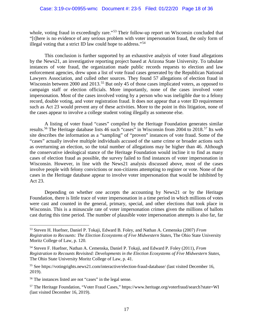whole, voting fraud in exceedingly rare."<sup>[53](#page-17-0)</sup> Their follow-up report on Wisconsin concluded that "[t]here is no evidence of any serious problem with voter impersonation fraud, the only form of illegal voting that a strict ID law could hope to address."<sup>[54](#page-17-1)</sup>

This conclusion is further supported by an exhaustive analysis of voter fraud allegations by the News21, an investigative reporting project based at Arizona State University. To tabulate instances of vote fraud, the organization made public records requests to election and law enforcement agencies, drew upon a list of vote fraud cases generated by the Republican National Lawyers Association, and culled other sources. They found 57 allegations of election fraud in Wisconsin between 2000 and 2013.<sup>[55](#page-17-2)</sup> But only 45 of those cases implicated voters, as opposed to campaign staff or election officials. More importantly, none of the cases involved voter impersonation. Most of the cases involved voting by a person who was ineligible due to a felony record, double voting, and voter registration fraud. It does not appear that a voter ID requirement such as Act 23 would prevent any of these activities. More to the point in this litigation, none of the cases appear to involve a college student voting illegally as someone else.

A listing of voter fraud "cases" compiled by the Heritage Foundation generates similar results.<sup>[56](#page-17-3)</sup> The Heritage database lists 46 such "cases" in Wisconsin from 2004 to 2018.<sup>[57](#page-17-4)</sup> Its web site describes the information as a "sampling" of "proven" instances of vote fraud. Some of the "cases" actually involve multiple individuals accused of the same crime or broader actions such as overturning an election, so the total number of allegations may be higher than 46. Although the conservative ideological stance of the Heritage Foundation would incline it to find as many cases of election fraud as possible, the survey failed to find instances of voter impersonation in Wisconsin. However, in line with the News21 analysis discussed above, most of the cases involve people with felony convictions or non-citizens attempting to register or vote. None of the cases in the Heritage database appear to involve voter impersonation that would be inhibited by Act 23.

Depending on whether one accepts the accounting by News21 or by the Heritage Foundation, there is little trace of voter impersonation in a time period in which millions of votes were cast and counted in the general, primary, special, and other elections that took place in Wisconsin. This is a minuscule rate of voter impersonation crimes given the millions of ballots cast during this time period. The number of plausible voter impersonation attempts is also far, far

<span id="page-17-0"></span><sup>53</sup> Steven H. Huefner, Daniel P. Tokaji, Edward B. Foley, and Nathan A. Cemenska (2007) *From Registration to Recounts: The Election Ecosystems of Five Midwestern States*, The Ohio State University Moritz College of Law, p. 120.

<span id="page-17-1"></span><sup>54</sup> Steven F. Huefner, Nathan A. Cemenska, Daniel P. Tokaji, and Edward P. Foley (2011), *From Registration to Recounts Revisited: Developments in the Election Ecosystems of Five Midwestern States*, The Ohio State University Moritz College of Law, p. 41.

<span id="page-17-2"></span><sup>55</sup> See https://votingrights.news21.com/interactive/election-fraud-database/ (last visited December 16, 2019).

<span id="page-17-3"></span><sup>56</sup> The instances listed are not "cases" in the legal sense.

<span id="page-17-4"></span><sup>57</sup> The Heritage Foundation, "Voter Fraud Cases," https://www.heritage.org/voterfraud/search?state=WI (last visited December 16, 2019).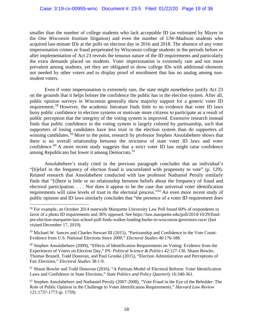smaller than the number of college students who lack acceptable ID (as estimated by Mayer in the *One Wisconsin Institute* litigation) and even the number of UW-Madison students who acquired last-minute IDs at the polls on election day in 2016 and 2018. The absence of any voter impersonation crimes or fraud perpetrated by Wisconsin college students in the periods before or after implementation of Act 23 reveals the tenuous nature of the ID requirements and particularly the extra demands placed on students. Voter impersonation is extremely rare and not more prevalent among students, yet they are obligated to show college IDs with additional elements not needed by other voters and to display proof of enrollment that has no analog among nonstudent voters.

Even if voter impersonation is extremely rare, the state might nonetheless justify Act 23 on the grounds that it helps bolster the confidence the public has in the election system. After all, public opinion surveys in Wisconsin generally show majority support for a generic voter ID requirement.[58](#page-18-0) However, the academic literature finds little to no evidence that voter ID laws buoy public confidence in election systems or motivate more citizens to participate as a result of public perception that the integrity of the voting system is improved. Extensive research instead finds that public confidence in the voting system is largely colored by partisanship, such that supporters of losing candidates have less trust in the election system than do supporters of winning candidates.<sup>[59](#page-18-1)</sup> More to the point, research by professor Stephen Ansolabehere shows that there is no overall relationship between the strictness of state voter ID laws and voter confidence.<sup>[60](#page-18-2)</sup> A more recent study suggests that a strict voter ID law might raise confidence among Republicans but lower it among Democrats.<sup>[61](#page-18-3)</sup>

Ansolabehere's study cited in the previous paragraph concludes that an individual's "[b]elief in the frequency of election fraud is uncorrelated with propensity to vote" (p. 129). Related research that Ansolabehere conducted with law professor Nathaniel Persily similarly finds that "[t]here is little or no relationship between beliefs about the frequency of fraud and electoral participation. . . . Nor does it appear to be the case that universal voter identification requirements will raise levels of trust in the electoral process."[62](#page-18-4) An even more recent study of public opinion and ID laws similarly concludes that "the presence of a voter ID requirement does

<span id="page-18-2"></span><sup>60</sup> Stephen Ansolabehere (2009), "Effects of Identification Requirements on Voting: Evidence from the Experiences of Voters on Election Day," *PS: Political Science & Politics* 42:127-130. Shaun Bowler, Thomas Brunell, Todd Donovan, and Paul Gronke (2015), "Election Administration and Perceptions of Fair Elections," *Electoral Studies* 38:1-9.

<span id="page-18-3"></span><sup>61</sup> Shaun Bowler and Todd Donovan (2016), "A Partisan Model of Electoral Reform: Voter Identification Laws and Confidence in State Elections," *State Politics and Policy Quarterly* 16:340-361.

<span id="page-18-4"></span> $62$  Stephen Ansolabehere and Nathaniel Persily (2007-2008), "Vote Fraud in the Eye of the Beholder: The Role of Public Opinion in the Challenge to Voter Identification Requirements," *Harvard Law Review* 121:1737-1773 (p. 1759).

<span id="page-18-0"></span><sup>&</sup>lt;sup>58</sup> For example, an October 2014 statewide Marquette University Law Poll found 60% of respondents in favor of a photo ID requirements and 36% opposed. See https://law.marquette.edu/poll/2014/10/29/finalpre-election-marquette-law-school-poll-finds-walker-leading-burke-in-wisconsin-governors-race/ (last visited December 17, 2019).

<span id="page-18-1"></span><sup>59</sup> Michael W. Sances and Charles Stewart III (2015), "Partisanship and Confidence in the Vote Count: Evidence from U.S. National Elections Since 2000," *Electoral Studies* 40:176-188.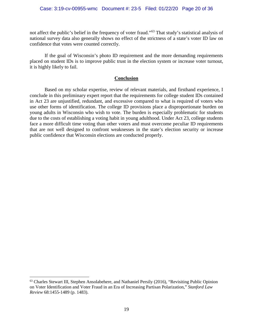not affect the public's belief in the frequency of voter fraud."[63](#page-19-0) That study's statistical analysis of national survey data also generally shows no effect of the strictness of a state's voter ID law on confidence that votes were counted correctly.

If the goal of Wisconsin's photo ID requirement and the more demanding requirements placed on student IDs is to improve public trust in the election system or increase voter turnout, it is highly likely to fail.

## **Conclusion**

Based on my scholar expertise, review of relevant materials, and firsthand experience, I conclude in this preliminary expert report that the requirements for college student IDs contained in Act 23 are unjustified, redundant, and excessive compared to what is required of voters who use other forms of identification. The college ID provisions place a disproportionate burden on young adults in Wisconsin who wish to vote. The burden is especially problematic for students due to the costs of establishing a voting habit in young adulthood. Under Act 23, college students face a more difficult time voting than other voters and must overcome peculiar ID requirements that are not well designed to confront weaknesses in the state's election security or increase public confidence that Wisconsin elections are conducted properly.

<span id="page-19-0"></span><sup>63</sup> Charles Stewart III, Stephen Ansolabehere, and Nathaniel Persily (2016), "Revisiting Public Opinion on Voter Identification and Voter Fraud in an Era of Increasing Partisan Polarization," *Stanford Law Review* 68:1455-1489 (p. 1483).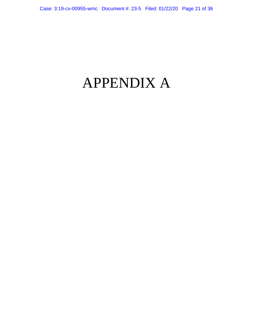## APPENDIX A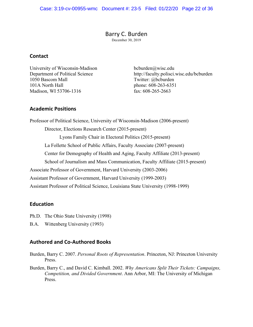Barry C. Burden December 30, 2019

## **Contact**

University of Wisconsin-Madison bcburden@wisc.edu 1050 Bascom Mall Twitter: @bcburden 101A North Hall phone: 608-263-6351 Madison, WI 53706-1316 fax: 608-265-2663

Department of Political Science http://faculty.polisci.wisc.edu/bcburden

## **Academic Positions**

Professor of Political Science, University of Wisconsin-Madison (2006-present) Director, Elections Research Center (2015-present) Lyons Family Chair in Electoral Politics (2015-present) La Follette School of Public Affairs, Faculty Associate (2007-present) Center for Demography of Health and Aging, Faculty Affiliate (2013-present) School of Journalism and Mass Communication, Faculty Affiliate (2015-present) Associate Professor of Government, Harvard University (2003-2006) Assistant Professor of Government, Harvard University (1999-2003) Assistant Professor of Political Science, Louisiana State University (1998-1999)

## **Education**

- Ph.D. The Ohio State University (1998)
- B.A. Wittenberg University (1993)

## **Authored and Co-Authored Books**

- Burden, Barry C. 2007. *Personal Roots of Representation*. Princeton, NJ: Princeton University Press.
- Burden, Barry C., and David C. Kimball. 2002. *Why Americans Split Their Tickets: Campaigns, Competition, and Divided Government*. Ann Arbor, MI: The University of Michigan Press.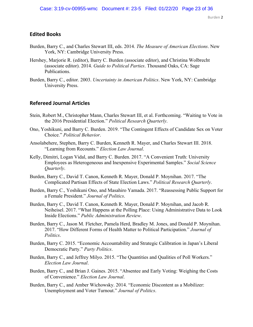## **Edited Books**

- Burden, Barry C., and Charles Stewart III, eds. 2014. *The Measure of American Elections*. New York, NY: Cambridge University Press.
- Hershey, Marjorie R. (editor), Barry C. Burden (associate editor), and Christina Wolbrecht (associate editor). 2014. *Guide to Political Parties*. Thousand Oaks, CA: Sage Publications.
- Burden, Barry C., editor. 2003. *Uncertainty in American Politics*. New York, NY: Cambridge University Press.

## **Refereed Journal Articles**

- Stein, Robert M., Christopher Mann, Charles Stewart III, et al. Forthcoming. "Waiting to Vote in the 2016 Presidential Election." *Political Research Quarterly*.
- Ono, Yoshikuni, and Barry C. Burden. 2019. "The Contingent Effects of Candidate Sex on Voter Choice." *Political Behavior*.
- Ansolabehere, Stephen, Barry C. Burden, Kenneth R. Mayer, and Charles Stewart III. 2018. "Learning from Recounts." *Election Law Journal*.
- Kelly, Dimitri, Logan Vidal, and Barry C. Burden. 2017. "A Convenient Truth: University Employees as Heterogeneous and Inexpensive Experimental Samples." *Social Science Quarterly*.
- Burden, Barry C., David T. Canon, Kenneth R. Mayer, Donald P. Moynihan. 2017. "The Complicated Partisan Effects of State Election Laws." *Political Research Quarterly*.
- Burden, Barry C., Yoshikuni Ono, and Masahiro Yamada. 2017. "Reassessing Public Support for a Female President." *Journal of Politics*.
- Burden, Barry C., David T. Canon, Kenneth R. Mayer, Donald P. Moynihan, and Jacob R. Neiheisel. 2017. "What Happens at the Polling Place: Using Administrative Data to Look Inside Elections." *Public Administration Review*.
- Burden, Barry C., Jason M. Fletcher, Pamela Herd, Bradley M. Jones, and Donald P. Moynihan. 2017. "How Different Forms of Health Matter to Political Participation." *Journal of Politics*.
- Burden, Barry C. 2015. "Economic Accountability and Strategic Calibration in Japan's Liberal Democratic Party." *Party Politics*.
- Burden, Barry C., and Jeffrey Milyo. 2015. "The Quantities and Qualities of Poll Workers." *Election Law Journal*.
- Burden, Barry C., and Brian J. Gaines. 2015. "Absentee and Early Voting: Weighing the Costs of Convenience." *Election Law Journal*.
- Burden, Barry C., and Amber Wichowsky. 2014. "Economic Discontent as a Mobilizer: Unemployment and Voter Turnout." *Journal of Politics*.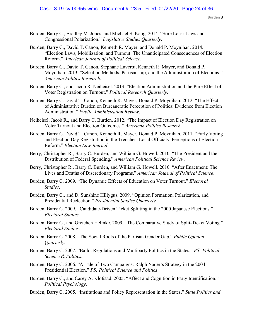- Burden, Barry C., Bradley M. Jones, and Michael S. Kang. 2014. "Sore Loser Laws and Congressional Polarization." *Legislative Studies Quarterly*.
- Burden, Barry C., David T. Canon, Kenneth R. Mayer, and Donald P. Moynihan. 2014. "Election Laws, Mobilization, and Turnout: The Unanticipated Consequences of Election Reform." *American Journal of Political Science*.
- Burden, Barry C., David T. Canon, Stéphane Lavertu, Kenneth R. Mayer, and Donald P. Moynihan. 2013. "Selection Methods, Partisanship, and the Administration of Elections." *American Politics Research*.
- Burden, Barry C., and Jacob R. Neiheisel. 2013. "Election Administration and the Pure Effect of Voter Registration on Turnout." *Political Research Quarterly*.
- Burden, Barry C. David T. Canon, Kenneth R. Mayer, Donald P. Moynihan. 2012. "The Effect of Administrative Burden on Bureaucratic Perception of Politics: Evidence from Election Administration." *Public Administration Review*.
- Neiheisel, Jacob R., and Barry C. Burden. 2012. "The Impact of Election Day Registration on Voter Turnout and Election Outcomes." *American Politics Research*.
- Burden, Barry C. David T. Canon, Kenneth R. Mayer, Donald P. Moynihan. 2011. "Early Voting and Election Day Registration in the Trenches: Local Officials' Perceptions of Election Reform." *Election Law Journal*.
- Berry, Christopher R., Barry C. Burden, and William G. Howell. 2010. "The President and the Distribution of Federal Spending." *American Political Science Review*.
- Berry, Christopher R., Barry C. Burden, and William G. Howell. 2010. "After Enactment: The Lives and Deaths of Discretionary Programs." *American Journal of Political Science*.
- Burden, Barry C. 2009. "The Dynamic Effects of Education on Voter Turnout." *Electoral Studies*.
- Burden, Barry C., and D. Sunshine Hillygus. 2009. "Opinion Formation, Polarization, and Presidential Reelection." *Presidential Studies Quarterly*.
- Burden, Barry C. 2009. "Candidate-Driven Ticket Splitting in the 2000 Japanese Elections." *Electoral Studies*.
- Burden, Barry C., and Gretchen Helmke. 2009. "The Comparative Study of Split-Ticket Voting." *Electoral Studies*.
- Burden, Barry C. 2008. "The Social Roots of the Partisan Gender Gap." *Public Opinion Quarterly*.
- Burden, Barry C. 2007. "Ballot Regulations and Multiparty Politics in the States." *PS: Political Science & Politics*.
- Burden, Barry C. 2006. "A Tale of Two Campaigns: Ralph Nader's Strategy in the 2004 Presidential Election." *PS: Political Science and Politics*.
- Burden, Barry C., and Casey A. Klofstad. 2005. "Affect and Cognition in Party Identification." *Political Psychology*.
- Burden, Barry C. 2005. "Institutions and Policy Representation in the States." *State Politics and*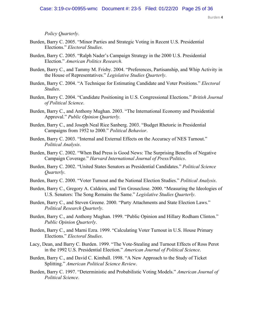*Policy Quarterly*.

- Burden, Barry C. 2005. "Minor Parties and Strategic Voting in Recent U.S. Presidential Elections." *Electoral Studies*.
- Burden, Barry C. 2005. "Ralph Nader's Campaign Strategy in the 2000 U.S. Presidential Election." *American Politics Research*.
- Burden, Barry C., and Tammy M. Frisby. 2004. "Preferences, Partisanship, and Whip Activity in the House of Representatives." *Legislative Studies Quarterly*.
- Burden, Barry C. 2004. "A Technique for Estimating Candidate and Voter Positions." *Electoral Studies*.
- Burden, Barry C. 2004. "Candidate Positioning in U.S. Congressional Elections." *British Journal of Political Science*.
- Burden, Barry C., and Anthony Mughan. 2003. "The International Economy and Presidential Approval." *Public Opinion Quarterly*.
- Burden, Barry C., and Joseph Neal Rice Sanberg. 2003. "Budget Rhetoric in Presidential Campaigns from 1952 to 2000." *Political Behavior*.
- Burden, Barry C. 2003. "Internal and External Effects on the Accuracy of NES Turnout." *Political Analysis*.
- Burden, Barry C. 2002. "When Bad Press is Good News: The Surprising Benefits of Negative Campaign Coverage." *Harvard International Journal of Press/Politics*.
- Burden, Barry C. 2002. "United States Senators as Presidential Candidates." *Political Science Quarterly*.
- Burden, Barry C. 2000. "Voter Turnout and the National Election Studies." *Political Analysis*.
- Burden, Barry C., Gregory A. Caldeira, and Tim Groseclose. 2000. "Measuring the Ideologies of U.S. Senators: The Song Remains the Same." *Legislative Studies Quarterly*.
- Burden, Barry C., and Steven Greene. 2000. "Party Attachments and State Election Laws." *Political Research Quarterly*.
- Burden, Barry C., and Anthony Mughan. 1999. "Public Opinion and Hillary Rodham Clinton." *Public Opinion Quarterly*.
- Burden, Barry C., and Marni Ezra. 1999. "Calculating Voter Turnout in U.S. House Primary Elections." *Electoral Studies*.
- Lacy, Dean, and Barry C. Burden. 1999. "The Vote-Stealing and Turnout Effects of Ross Perot in the 1992 U.S. Presidential Election." *American Journal of Political Science*.
- Burden, Barry C., and David C. Kimball. 1998. "A New Approach to the Study of Ticket Splitting." *American Political Science Review*.
- Burden, Barry C. 1997. "Deterministic and Probabilistic Voting Models." *American Journal of Political Science*.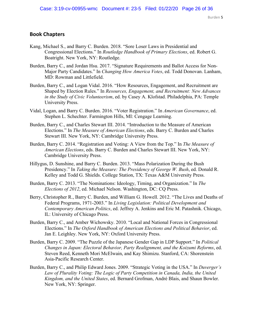## **Book Chapters**

- Kang, Michael S., and Barry C. Burden. 2018. "Sore Loser Laws in Presidential and Congressional Elections." In *Routledge Handbook of Primary Elections*, ed. Robert G. Boatright. New York, NY: Routledge.
- Burden, Barry C., and Jordan Hsu. 2017. "Signature Requirements and Ballot Access for Non-Major Party Candidates." In *Changing How America Votes*, ed. Todd Donovan. Lanham, MD: Rowman and Littlefield.
- Burden, Barry C., and Logan Vidal. 2016. "How Resources, Engagement, and Recruitment are Shaped by Election Rules." In *Resources, Engagement, and Recruitment: New Advances in the Study of Civic Volunteerism*, ed. by Casey A. Klofstad. Philadelphia, PA: Temple University Press.
- Vidal, Logan, and Barry C. Burden. 2016. "Voter Registration." In *American Governance*, ed. Stephen L. Schechter. Farmington Hills, MI: Cengage Learning.
- Burden, Barry C., and Charles Stewart III. 2014. "Introduction to the Measure of American Elections." In *The Measure of American Elections*, eds. Barry C. Burden and Charles Stewart III. New York, NY: Cambridge University Press.
- Burden, Barry C. 2014. "Registration and Voting: A View from the Top." In *The Measure of American Elections*, eds. Barry C. Burden and Charles Stewart III. New York, NY: Cambridge University Press.
- Hillygus, D. Sunshine, and Barry C. Burden. 2013. "Mass Polarization During the Bush Presidency." In *Taking the Measure: The Presidency of George W. Bush*, ed. Donald R. Kelley and Todd G. Shields. College Station, TX: Texas A&M University Press.
- Burden, Barry C. 2013. "The Nominations: Ideology, Timing, and Organization." In *The Elections of 2012*, ed. Michael Nelson. Washington, DC: CQ Press.
- Berry, Christopher R., Barry C. Burden, and William G. Howell. 2012. "The Lives and Deaths of Federal Programs, 1971-2003." In *Living Legislation: Political Development and Contemporary American Politics*, ed. Jeffrey A. Jenkins and Eric M. Patashnik. Chicago, IL: University of Chicago Press.
- Burden, Barry C., and Amber Wichowsky. 2010. "Local and National Forces in Congressional Elections." In *The Oxford Handbook of American Elections and Political Behavior*, ed. Jan E. Leighley. New York, NY: Oxford University Press.
- Burden, Barry C. 2009. "The Puzzle of the Japanese Gender Gap in LDP Support." In *Political Changes in Japan: Electoral Behavior, Party Realignment, and the Koizumi Reforms*, ed. Steven Reed, Kenneth Mori McElwain, and Kay Shimizu. Stanford, CA: Shorenstein Asia-Pacific Research Center.
- Burden, Barry C., and Philip Edward Jones. 2009. "Strategic Voting in the USA." In *Duverger's Law of Plurality Voting: The Logic of Party Competition in Canada, India, the United Kingdom, and the United States*, ed. Bernard Grofman, André Blais, and Shaun Bowler. New York, NY: Springer.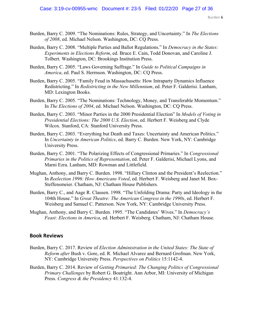#### Case: 3:19-cv-00955-wmc Document #: 23-5 Filed: 01/22/20 Page 27 of 36

- Burden, Barry C. 2009. "The Nominations: Rules, Strategy, and Uncertainty." In *The Elections of 2008*, ed. Michael Nelson. Washington, DC: CQ Press.
- Burden, Barry C. 2008. "Multiple Parties and Ballot Regulations." In *Democracy in the States: Experiments in Elections Reform*, ed. Bruce E. Cain, Todd Donovan, and Caroline J. Tolbert. Washington, DC: Brookings Institution Press.
- Burden, Barry C. 2005. "Laws Governing Suffrage." In *Guide to Political Campaigns in America*, ed. Paul S. Herrnson. Washington, DC: CQ Press.
- Burden, Barry C. 2005. "Family Feud in Massachusetts: How Intraparty Dynamics Influence Redistricting." In *Redistricting in the New Millennium*, ed. Peter F. Galderisi. Lanham, MD: Lexington Books.
- Burden, Barry C. 2005. "The Nominations: Technology, Money, and Transferable Momentum." In *The Elections of 2004*, ed. Michael Nelson. Washington, DC: CQ Press.
- Burden, Barry C. 2003. "Minor Parties in the 2000 Presidential Election" In *Models of Voting in Presidential Elections: The 2000 U.S. Election*, ed. Herbert F. Weisberg and Clyde Wilcox. Stanford, CA: Stanford University Press.
- Burden, Barry C. 2003. "Everything but Death and Taxes: Uncertainty and American Politics." In *Uncertainty in American Politics*, ed. Barry C. Burden. New York, NY: Cambridge University Press.
- Burden, Barry C. 2001. "The Polarizing Effects of Congressional Primaries." In *Congressional Primaries in the Politics of Representation*, ed. Peter F. Galderisi, Michael Lyons, and Marni Ezra. Lanham, MD: Rowman and Littlefield.
- Mughan, Anthony, and Barry C. Burden. 1998. "Hillary Clinton and the President's Reelection." In *Reelection 1996: How Americans Voted*, ed. Herbert F. Weisberg and Janet M. Box-Steffensmeier. Chatham, NJ: Chatham House Publishers.
- Burden, Barry C., and Aage R. Clausen. 1998. "The Unfolding Drama: Party and Ideology in the 104th House." In *Great Theatre: The American Congress in the 1990s*, ed. Herbert F. Weisberg and Samuel C. Patterson. New York, NY: Cambridge University Press.
- Mughan, Anthony, and Barry C. Burden. 1995. "The Candidates' Wives." In *Democracy's Feast: Elections in America*, ed. Herbert F. Weisberg. Chatham, NJ: Chatham House.

#### **Book Reviews**

- Burden, Barry C. 2017. Review of *Election Administration in the United States: The State of Reform after* Bush v. Gore, ed. R. Michael Alvarez and Bernard Grofman. New York, NY: Cambridge University Press. *Perspectives on Politics* 15:1142-4.
- Burden, Barry C. 2014. Review of *Getting Primaried: The Changing Politics of Congressional Primary Challenges* by Robert G. Boatright. Ann Arbor, MI: University of Michigan Press. *Congress & the Presidency* 41:132-4.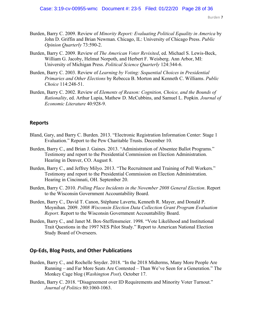- Burden, Barry C. 2009. Review of *Minority Report: Evaluating Political Equality in America* by John D. Griffin and Brian Newman. Chicago, IL: University of Chicago Press. *Public Opinion Quarterly* 73:590-2.
- Burden, Barry C. 2009. Review of *The American Voter Revisited*, ed. Michael S. Lewis-Beck, William G. Jacoby, Helmut Norpoth, and Herbert F. Weisberg. Ann Arbor, MI: University of Michigan Press. *Political Science Quarterly* 124:344-6.
- Burden, Barry C. 2003. Review of *Learning by Voting: Sequential Choices in Presidential Primaries and Other Elections* by Rebecca B. Morton and Kenneth C. Williams. *Public Choice* 114:248-51.
- Burden, Barry C. 2002. Review of *Elements of Reason: Cognition, Choice, and the Bounds of Rationality*, ed. Arthur Lupia, Mathew D. McCubbins, and Samuel L. Popkin. *Journal of Economic Literature* 40:928-9.

## **Reports**

- Bland, Gary, and Barry C. Burden. 2013. "Electronic Registration Information Center: Stage 1 Evaluation." Report to the Pew Charitable Trusts. December 10.
- Burden, Barry C., and Brian J. Gaines. 2013. "Administration of Absentee Ballot Programs." Testimony and report to the Presidential Commission on Election Administration. Hearing in Denver, CO. August 8.
- Burden, Barry C., and Jeffrey Milyo. 2013. "The Recruitment and Training of Poll Workers." Testimony and report to the Presidential Commission on Election Administration. Hearing in Cincinnati, OH. September 20.
- Burden, Barry C. 2010. *Polling Place Incidents in the November 2008 General Election*. Report to the Wisconsin Government Accountability Board.
- Burden, Barry C., David T. Canon, Stéphane Lavertu, Kenneth R. Mayer, and Donald P. Moynihan. 2009. *2008 Wisconsin Election Data Collection Grant Program Evaluation Report*. Report to the Wisconsin Government Accountability Board.
- Burden, Barry C., and Janet M. Box-Steffensmeier. 1998. "Vote Likelihood and Institutional Trait Questions in the 1997 NES Pilot Study." Report to American National Election Study Board of Overseers.

## **Op-Eds, Blog Posts, and Other Publications**

- Burden, Barry C., and Rochelle Snyder. 2018. "In the 2018 Midterms, Many More People Are Running – and Far More Seats Are Contested – Than We've Seen for a Generation." The Monkey Cage blog (*Washington Post*). October 17.
- Burden, Barry C. 2018. "Disagreement over ID Requirements and Minority Voter Turnout." *Journal of Politics* 80:1060-1063.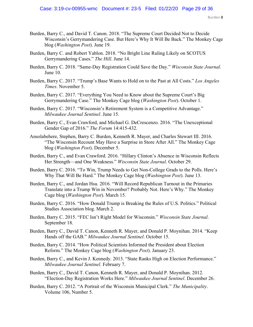- Burden, Barry C., and David T. Canon. 2018. "The Supreme Court Decided Not to Decide Wisconsin's Gerrymandering Case. But Here's Why It Will Be Back." The Monkey Cage blog (*Washington Post*). June 19.
- Burden, Barry C. and Robert Yablon. 2018. "No Bright Line Ruling Likely on SCOTUS Gerrymandering Cases." *The Hill*. June 14.
- Burden, Barry C. 2018. "Same-Day Registration Could Save the Day." *Wisconsin State Journal*. June 10.
- Burden, Barry C. 2017. "Trump's Base Wants to Hold on to the Past at All Costs." *Los Angeles Times*. November 5.
- Burden, Barry C. 2017. "Everything You Need to Know about the Supreme Court's Big Gerrymandering Case." The Monkey Cage blog (*Washington Post*). October 1.
- Burden, Barry C. 2017. "Wisconsin's Retirement System is a Competitive Advantage." *Milwaukee Journal Sentinel*. June 15.
- Burden, Barry C., Evan Crawford, and Michael G. DeCrescenzo. 2016. "The Unexceptional Gender Gap of 2016." *The Forum* 14:415-432.
- Ansolabehere, Stephen, Barry C. Burden, Kenneth R. Mayer, and Charles Stewart III. 2016. "The Wisconsin Recount May Have a Surprise in Store After All." The Monkey Cage blog (*Washington Post*). December 5.
- Burden, Barry C., and Evan Crawford. 2016. "Hillary Clinton's Absence in Wisconsin Reflects Her Strength—and One Weakness." *Wisconsin State Journal*. October 29.
- Burden, Barry C. 2016. "To Win, Trump Needs to Get Non-College Grads to the Polls. Here's Why That Will Be Hard." The Monkey Cage blog (*Washington Post*). June 13.
- Burden, Barry C., and Jordan Hsu. 2016. "Will Record Republican Turnout in the Primaries Translate into a Trump Win in November? Probably Not. Here's Why." The Monkey Cage blog (*Washington Post*). March 15.
- Burden, Barry C. 2016. "How Donald Trump is Breaking the Rules of U.S. Politics." Political Studies Association blog. March 2.
- Burden, Barry C. 2015. "FEC Isn't Right Model for Wisconsin." *Wisconsin State Journal*. September 18.
- Burden, Barry C., David T. Canon, Kenneth R. Mayer, and Donald P. Moynihan. 2014. "Keep Hands off the GAB." *Milwaukee Journal Sentinel*. October 15.
- Burden, Barry C. 2014. "How Political Scientists Informed the President about Election Reform." The Monkey Cage blog (*Washington Post*). January 23.
- Burden, Barry C., and Kevin J. Kennedy. 2013. "State Ranks High on Election Performance." *Milwaukee Journal Sentinel*. February 7.
- Burden, Barry C., David T. Canon, Kenneth R. Mayer, and Donald P. Moynihan. 2012. "Election-Day Registration Works Here." *Milwaukee Journal Sentinel*. December 26.
- Burden, Barry C. 2012. "A Portrait of the Wisconsin Municipal Clerk." *The Municipality*. Volume 106, Number 5.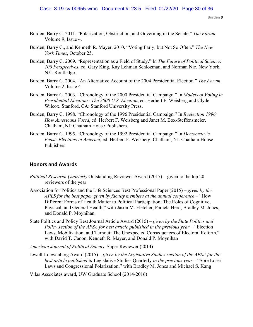- Burden, Barry C. 2011. "Polarization, Obstruction, and Governing in the Senate." *The Forum*. Volume 9, Issue 4.
- Burden, Barry C., and Kenneth R. Mayer. 2010. "Voting Early, but Not So Often." *The New York Times*, October 25.
- Burden, Barry C. 2009. "Representation as a Field of Study." In *The Future of Political Science: 100 Perspectives*, ed. Gary King, Kay Lehman Schlozman, and Norman Nie. New York, NY: Routledge.
- Burden, Barry C. 2004. "An Alternative Account of the 2004 Presidential Election." *The Forum*. Volume 2, Issue 4.
- Burden, Barry C. 2003. "Chronology of the 2000 Presidential Campaign." In *Models of Voting in Presidential Elections: The 2000 U.S. Election*, ed. Herbert F. Weisberg and Clyde Wilcox. Stanford, CA: Stanford University Press.
- Burden, Barry C. 1998. "Chronology of the 1996 Presidential Campaign." In *Reelection 1996: How Americans Voted*, ed. Herbert F. Weisberg and Janet M. Box-Steffensmeier. Chatham, NJ: Chatham House Publishers.
- Burden, Barry C. 1995. "Chronology of the 1992 Presidential Campaign." In *Democracy's Feast: Elections in America*, ed. Herbert F. Weisberg. Chatham, NJ: Chatham House Publishers.

## **Honors and Awards**

- *Political Research Quarterly* Outstanding Reviewer Award (2017) given to the top 20 reviewers of the year
- Association for Politics and the Life Sciences Best Professional Paper (2015) *given by the APLS for the best paper given by faculty members at the annual conference* – "How Different Forms of Health Matter to Political Participation: The Roles of Cognitive, Physical, and General Health," with Jason M. Fletcher, Pamela Herd, Bradley M. Jones, and Donald P. Moynihan.
- State Politics and Policy Best Journal Article Award (2015) *given by the State Politics and Policy section of the APSA for best article published in the previous year* – "Election" Laws, Mobilization, and Turnout: The Unexpected Consequences of Electoral Reform," with David T. Canon, Kenneth R. Mayer, and Donald P. Moynihan
- *American Journal of Political Science* Super Reviewer (2014)
- Jewell-Loewenberg Award (2015) *given by the Legislative Studies section of the APSA for the best article published in* Legislative Studies Quarterly *in the previous year* – "Sore Loser Laws and Congressional Polarization," with Bradley M. Jones and Michael S. Kang

Vilas Associates award, UW Graduate School (2014-2016)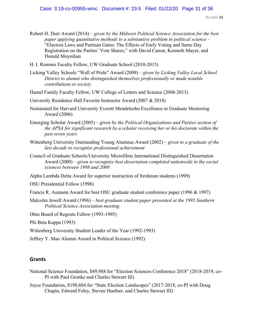Case: 3:19-cv-00955-wmc Document #: 23-5 Filed: 01/22/20 Page 31 of 36

- Robert H. Durr Award (2014) *given by the Midwest Political Science Association for the best paper applying quantitative methods to a substantive problem in political science* – "Election Laws and Partisan Gains: The Effects of Early Voting and Same Day Registration on the Parties' Vote Shares," with David Canon, Kenneth Mayer, and Donald Moynihan
- H. I. Romnes Faculty Fellow, UW Graduate School (2010-2015)
- Licking Valley Schools "Wall of Pride" Award (2009) *given by Licking Valley Local School District to alumni who distinguished themselves professionally or made notable contributions to society*
- Hamel Family Faculty Fellow, UW College of Letters and Science (2008-2013)
- University Residence Hall Favorite Instructor Award (2007 & 2018)
- Nominated for Harvard University Everett Mendelsohn Excellence in Graduate Mentoring Award (2006)
- Emerging Scholar Award (2005) *given by the Political Organizations and Parties section of the APSA for significant research by a scholar receiving her or his doctorate within the past seven years*
- Wittenberg University Outstanding Young Alumnus Award (2002) *given to a graduate of the last decade to recognize professional achievement*
- Council of Graduate Schools/University Microfilms International Distinguished Dissertation Award (2000) – *given to recognize best dissertation completed nationwide in the social sciences between 1998 and 2000*
- Αlpha Lambda Delta Award for superior instruction of freshman students (1999)

OSU Presidential Fellow (1998)

Francis R. Aumann Award for best OSU graduate student conference paper (1996 & 1997)

Malcolm Jewell Award (1996) – *best graduate student paper presented at the 1995 Southern Political Science Association meeting*

Ohio Board of Regents Fellow (1993-1995)

Phi Beta Kappa (1993)

Wittenberg University Student Leader of the Year (1992-1993)

Jeffrey Y. Mao Alumni Award in Political Science (1992)

## **Grants**

- National Science Foundation, \$49,988 for "Election Sciences Conference 2018" (2018-2019, co-PI with Paul Gronke and Charles Stewart III)
- Joyce Foundation, \$198,604 for "State Election Landscapes" (2017-2018, co-PI with Doug Chapin, Edward Foley, Steven Huefner, and Charles Stewart III)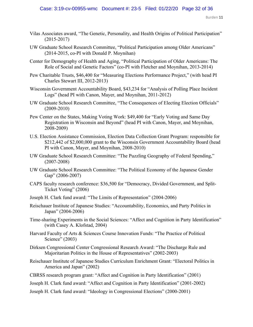#### Case: 3:19-cv-00955-wmc Document #: 23-5 Filed: 01/22/20 Page 32 of 36

- Vilas Associates award, "The Genetic, Personality, and Health Origins of Political Participation" (2015-2017)
- UW Graduate School Research Committee, "Political Participation among Older Americans" (2014-2015, co-PI with Donald P. Moynihan)
- Center for Demography of Health and Aging, "Political Participation of Older Americans: The Role of Social and Genetic Factors" (co-PI with Fletcher and Moynihan, 2013-2014)
- Pew Charitable Trusts, \$46,400 for "Measuring Elections Performance Project," (with head PI Charles Stewart III, 2012-2013)
- Wisconsin Government Accountability Board, \$43,234 for "Analysis of Polling Place Incident Logs" (head PI with Canon, Mayer, and Moynihan, 2011-2012)
- UW Graduate School Research Committee, "The Consequences of Electing Election Officials" (2009-2010)
- Pew Center on the States, Making Voting Work: \$49,400 for "Early Voting and Same Day Registration in Wisconsin and Beyond" (head PI with Canon, Mayer, and Moynihan, 2008-2009)
- U.S. Election Assistance Commission, Election Data Collection Grant Program: responsible for \$212,442 of \$2,000,000 grant to the Wisconsin Government Accountability Board (head PI with Canon, Mayer, and Moynihan, 2008-2010)
- UW Graduate School Research Committee: "The Puzzling Geography of Federal Spending," (2007-2008)
- UW Graduate School Research Committee: "The Political Economy of the Japanese Gender Gap" (2006-2007)
- CAPS faculty research conference: \$36,500 for "Democracy, Divided Government, and Split-Ticket Voting" (2006)
- Joseph H. Clark fund award: "The Limits of Representation" (2004-2006)
- Reischauer Institute of Japanese Studies: "Accountability, Economics, and Party Politics in Japan" (2004-2006)
- Time-sharing Experiments in the Social Sciences: "Affect and Cognition in Party Identification" (with Casey A. Klofstad, 2004)
- Harvard Faculty of Arts & Sciences Course Innovation Funds: "The Practice of Political Science" (2003)
- Dirksen Congressional Center Congressional Research Award: "The Discharge Rule and Majoritarian Politics in the House of Representatives" (2002-2003)
- Reischauer Institute of Japanese Studies Curriculum Enrichment Grant: "Electoral Politics in America and Japan" (2002)
- CBRSS research program grant: "Affect and Cognition in Party Identification" (2001)
- Joseph H. Clark fund award: "Affect and Cognition in Party Identification" (2001-2002)
- Joseph H. Clark fund award: "Ideology in Congressional Elections" (2000-2001)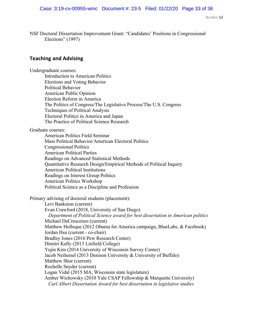NSF Doctoral Dissertation Improvement Grant: "Candidates' Positions in Congressional Elections" (1997)

## **Teaching and Advising**

Undergraduate courses:

Introduction to American Politics Elections and Voting Behavior Political Behavior American Public Opinion Election Reform in America The Politics of Congress/The Legislative Process/The U.S. Congress Techniques of Political Analysis Electoral Politics in America and Japan The Practice of Political Science Research

Graduate courses:

American Politics Field Seminar Mass Political Behavior/American Electoral Politics Congressional Politics American Political Parties Readings on Advanced Statistical Methods Quantitative Research Design/Empirical Methods of Political Inquiry American Political Institutions Readings on Interest Group Politics American Politics Workshop Political Science as a Discipline and Profession

Primary advising of doctoral students (placement):

Levi Bankston (current) Evan Crawford (2018, University of San Diego)  *Department of Political Science award for best dissertation in American politics* Michael DeCrescenzo (current) Matthew Holleque (2012 Obama for America campaign, BlueLabs, & Facebook) Jordan Hsu (current - co-chair) Bradley Jones (2016 Pew Research Center) Dimitri Kelly (2013 Linfield College) Yujin Kim (2014 University of Wisconsin Survey Center) Jacob Neiheisel (2013 Denison University & University of Buffalo) Matthew Shor (current) Rochelle Snyder (current) Logan Vidal (2015 MA, Wisconsin state legislature) Amber Wichowsky (2010 Yale CSAP Fellowship & Marquette University)  *Carl Albert Dissertation Award for best dissertation in legislative studies*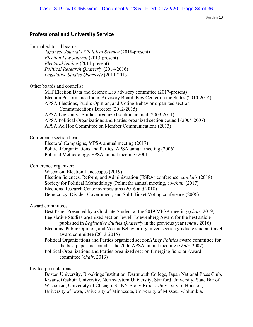Burden 13

## **Professional and University Service**

#### Journal editorial boards:

*Japanese Journal of Political Science* (2018-present) *Election Law Journal* (2013-present) *Electoral Studies* (2011-present) *Political Research Quarterly* (2014-2016) *Legislative Studies Quarterly* (2011-2013)

#### Other boards and councils:

MIT Election Data and Science Lab advisory committee (2017-present) Election Performance Index Advisory Board, Pew Center on the States (2010-2014) APSA Elections, Public Opinion, and Voting Behavior organized section Communications Director (2012-2015) APSA Legislative Studies organized section council (2009-2011) APSA Political Organizations and Parties organized section council (2005-2007) APSA Ad Hoc Committee on Member Communications (2013)

#### Conference section head:

Electoral Campaigns, MPSA annual meeting (2017) Political Organizations and Parties, APSA annual meeting (2006) Political Methodology, SPSA annual meeting (2001)

## Conference organizer:

Wisconsin Election Landscapes (2019) Election Sciences, Reform, and Administration (ESRA) conference, *co-chair* (2018) Society for Political Methodology (Polmeth) annual meeting, *co-chair* (2017) Elections Research Center symposiums (2016 and 2018) Democracy, Divided Government, and Split-Ticket Voting conference (2006)

#### Award committees:

Best Paper Presented by a Graduate Student at the 2019 MPSA meeting (*chair*, 2019) Legislative Studies organized section Jewell-Loewenberg Award for the best article published in *Legislative Studies Quarterly* in the previous year (*chair*, 2016)

- Elections, Public Opinion, and Voting Behavior organized section graduate student travel award committee (2013-2015)
- Political Organizations and Parties organized section/*Party Politics* award committee for the best paper presented at the 2006 APSA annual meeting (*chair*, 2007)
- Political Organizations and Parties organized section Emerging Scholar Award committee (*chair*, 2013)

#### Invited presentations:

Boston University, Brookings Institution, Dartmouth College, Japan National Press Club, Kwansei Gakuin University, Northwestern University, Stanford University, State Bar of Wisconsin, University of Chicago, SUNY-Stony Brook, University of Houston, University of Iowa, University of Minnesota, University of Missouri-Columbia,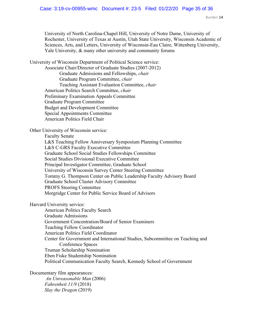University of North Carolina-Chapel Hill, University of Notre Dame, University of Rochester, University of Texas at Austin, Utah State University, Wisconsin Academic of Sciences, Arts, and Letters, University of Wisconsin-Eau Claire, Wittenberg University, Yale University, & many other university and community forums

University of Wisconsin Department of Political Science service:

Associate Chair/Director of Graduate Studies (2007-2012) Graduate Admissions and Fellowships, *chair* Graduate Program Committee, *chair* Teaching Assistant Evaluation Committee, *chair* American Politics Search Committee, *chair* Preliminary Examination Appeals Committee Graduate Program Committee Budget and Development Committee Special Appointments Committee American Politics Field Chair

Other University of Wisconsin service:

Faculty Senate

L&S Teaching Fellow Anniversary Symposium Planning Committee L&S C-GRS Faculty Executive Committee Graduate School Social Studies Fellowships Committee Social Studies Divisional Executive Committee Principal Investigator Committee, Graduate School University of Wisconsin Survey Center Steering Committee Tommy G. Thompson Center on Public Leadership Faculty Advisory Board Graduate School Cluster Advisory Committee PROFS Steering Committee Morgridge Center for Public Service Board of Advisors

Harvard University service:

American Politics Faculty Search Graduate Admissions Government Concentration/Board of Senior Examiners Teaching Fellow Coordinator American Politics Field Coordinator Center for Government and International Studies, Subcommittee on Teaching and Conference Spaces Truman Scholarship Nomination Eben Fiske Studentship Nomination Political Communication Faculty Search, Kennedy School of Government

Documentary film appearances:

*An Unreasonable Man* (2006) *Fahrenheit 11/9* (2018) *Slay the Dragon* (2019)